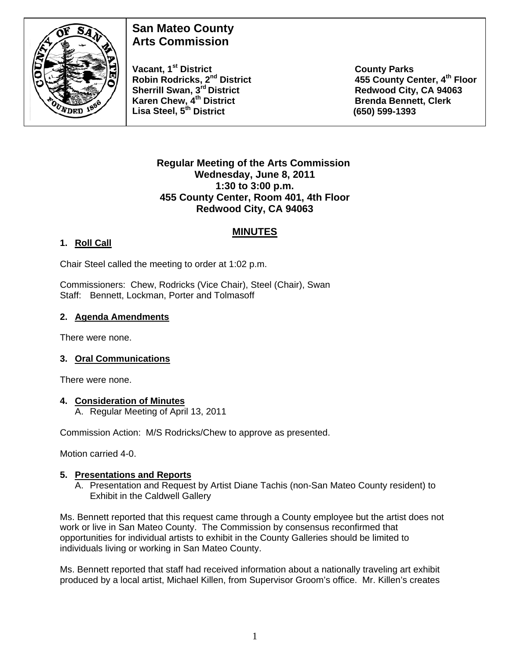

# **San Mateo County Arts Commission**

Vacant, 1<sup>st</sup> District County Parks<br>Robin Rodricks, 2<sup>nd</sup> District 455 County Ce **Sherrill Swan, 3<sup>rd</sup> District Redwood City, CA 94063** Karen Chew, 4<sup>th</sup> District **Brenda Bennett, Clerk Brenda Bennett**, Clerk **Lisa Steel, 5th District (650) 599-1393** 

**455 County Center, 4<sup>th</sup> Floor** 

#### **Regular Meeting of the Arts Commission Wednesday, June 8, 2011 1:30 to 3:00 p.m. 455 County Center, Room 401, 4th Floor Redwood City, CA 94063**

# **MINUTES**

# **1. Roll Call**

Chair Steel called the meeting to order at 1:02 p.m.

Commissioners: Chew, Rodricks (Vice Chair), Steel (Chair), Swan Staff: Bennett, Lockman, Porter and Tolmasoff

### **2. Agenda Amendments**

There were none.

#### **3. Oral Communications**

There were none.

#### **4. Consideration of Minutes**

A. Regular Meeting of April 13, 2011

Commission Action: M/S Rodricks/Chew to approve as presented.

Motion carried 4-0.

#### **5. Presentations and Reports**

A. Presentation and Request by Artist Diane Tachis (non-San Mateo County resident) to Exhibit in the Caldwell Gallery

Ms. Bennett reported that this request came through a County employee but the artist does not work or live in San Mateo County. The Commission by consensus reconfirmed that opportunities for individual artists to exhibit in the County Galleries should be limited to individuals living or working in San Mateo County.

Ms. Bennett reported that staff had received information about a nationally traveling art exhibit produced by a local artist, Michael Killen, from Supervisor Groom's office. Mr. Killen's creates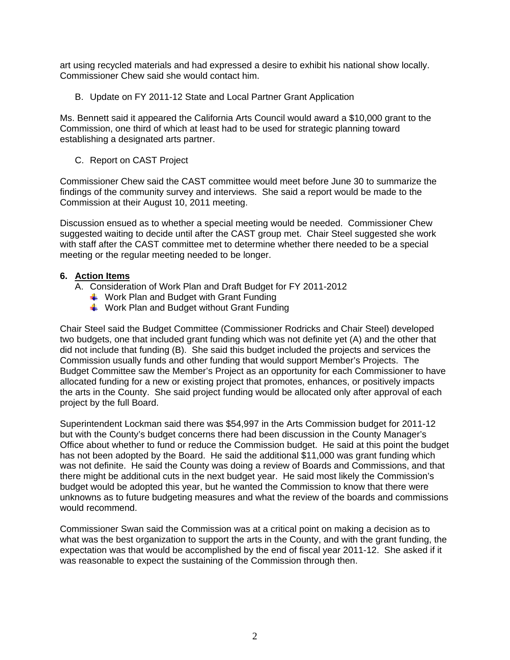art using recycled materials and had expressed a desire to exhibit his national show locally. Commissioner Chew said she would contact him.

B. Update on FY 2011-12 State and Local Partner Grant Application

Ms. Bennett said it appeared the California Arts Council would award a \$10,000 grant to the Commission, one third of which at least had to be used for strategic planning toward establishing a designated arts partner.

C. Report on CAST Project

Commissioner Chew said the CAST committee would meet before June 30 to summarize the findings of the community survey and interviews. She said a report would be made to the Commission at their August 10, 2011 meeting.

Discussion ensued as to whether a special meeting would be needed. Commissioner Chew suggested waiting to decide until after the CAST group met. Chair Steel suggested she work with staff after the CAST committee met to determine whether there needed to be a special meeting or the regular meeting needed to be longer.

#### **6. Action Items**

- A. Consideration of Work Plan and Draft Budget for FY 2011-2012
	- $\downarrow$  Work Plan and Budget with Grant Funding
	- $\frac{1}{2}$  Work Plan and Budget without Grant Funding

Chair Steel said the Budget Committee (Commissioner Rodricks and Chair Steel) developed two budgets, one that included grant funding which was not definite yet (A) and the other that did not include that funding (B). She said this budget included the projects and services the Commission usually funds and other funding that would support Member's Projects. The Budget Committee saw the Member's Project as an opportunity for each Commissioner to have allocated funding for a new or existing project that promotes, enhances, or positively impacts the arts in the County. She said project funding would be allocated only after approval of each project by the full Board.

Superintendent Lockman said there was \$54,997 in the Arts Commission budget for 2011-12 but with the County's budget concerns there had been discussion in the County Manager's Office about whether to fund or reduce the Commission budget. He said at this point the budget has not been adopted by the Board. He said the additional \$11,000 was grant funding which was not definite. He said the County was doing a review of Boards and Commissions, and that there might be additional cuts in the next budget year. He said most likely the Commission's budget would be adopted this year, but he wanted the Commission to know that there were unknowns as to future budgeting measures and what the review of the boards and commissions would recommend.

Commissioner Swan said the Commission was at a critical point on making a decision as to what was the best organization to support the arts in the County, and with the grant funding, the expectation was that would be accomplished by the end of fiscal year 2011-12. She asked if it was reasonable to expect the sustaining of the Commission through then.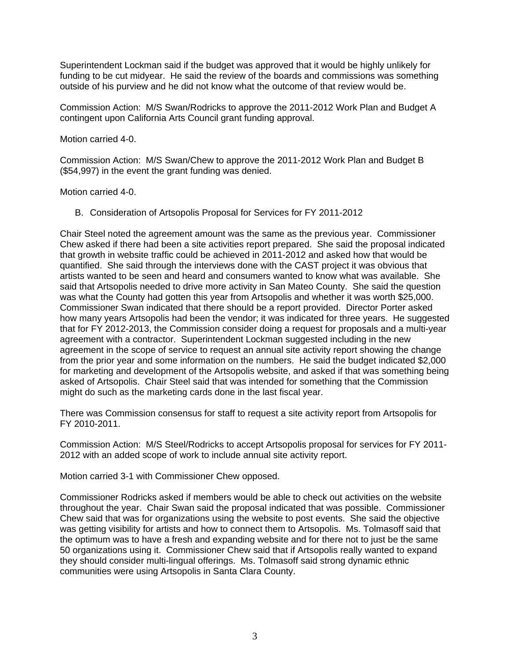Superintendent Lockman said if the budget was approved that it would be highly unlikely for funding to be cut midyear. He said the review of the boards and commissions was something outside of his purview and he did not know what the outcome of that review would be.

Commission Action: M/S Swan/Rodricks to approve the 2011-2012 Work Plan and Budget A contingent upon California Arts Council grant funding approval.

Motion carried 4-0.

Commission Action: M/S Swan/Chew to approve the 2011-2012 Work Plan and Budget B (\$54,997) in the event the grant funding was denied.

Motion carried 4-0.

B. Consideration of Artsopolis Proposal for Services for FY 2011-2012

Chair Steel noted the agreement amount was the same as the previous year. Commissioner Chew asked if there had been a site activities report prepared. She said the proposal indicated that growth in website traffic could be achieved in 2011-2012 and asked how that would be quantified. She said through the interviews done with the CAST project it was obvious that artists wanted to be seen and heard and consumers wanted to know what was available. She said that Artsopolis needed to drive more activity in San Mateo County. She said the question was what the County had gotten this year from Artsopolis and whether it was worth \$25,000. Commissioner Swan indicated that there should be a report provided. Director Porter asked how many years Artsopolis had been the vendor; it was indicated for three years. He suggested that for FY 2012-2013, the Commission consider doing a request for proposals and a multi-year agreement with a contractor. Superintendent Lockman suggested including in the new agreement in the scope of service to request an annual site activity report showing the change from the prior year and some information on the numbers. He said the budget indicated \$2,000 for marketing and development of the Artsopolis website, and asked if that was something being asked of Artsopolis. Chair Steel said that was intended for something that the Commission might do such as the marketing cards done in the last fiscal year.

There was Commission consensus for staff to request a site activity report from Artsopolis for FY 2010-2011.

Commission Action: M/S Steel/Rodricks to accept Artsopolis proposal for services for FY 2011- 2012 with an added scope of work to include annual site activity report.

Motion carried 3-1 with Commissioner Chew opposed.

Commissioner Rodricks asked if members would be able to check out activities on the website throughout the year. Chair Swan said the proposal indicated that was possible. Commissioner Chew said that was for organizations using the website to post events. She said the objective was getting visibility for artists and how to connect them to Artsopolis. Ms. Tolmasoff said that the optimum was to have a fresh and expanding website and for there not to just be the same 50 organizations using it. Commissioner Chew said that if Artsopolis really wanted to expand they should consider multi-lingual offerings. Ms. Tolmasoff said strong dynamic ethnic communities were using Artsopolis in Santa Clara County.